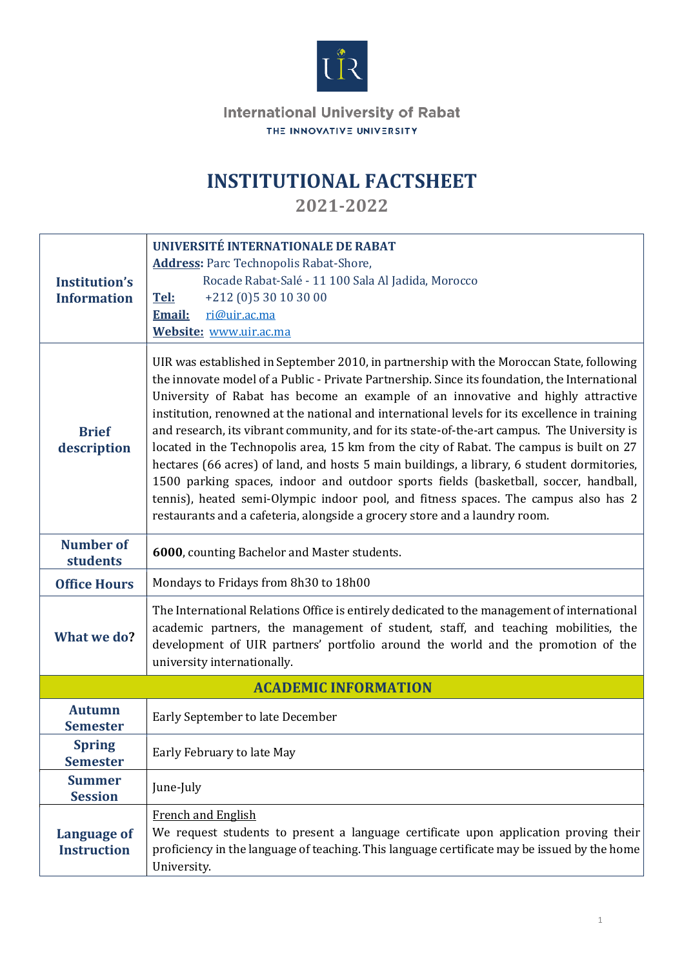

**International University of Rabat** THE INNOVATIVE UNIVERSITY

## **INSTITUTIONAL FACTSHEET**

**2021-2022**

| <b>Institution's</b><br><b>Information</b> | UNIVERSITÉ INTERNATIONALE DE RABAT<br><b>Address:</b> Parc Technopolis Rabat-Shore,<br>Rocade Rabat-Salé - 11 100 Sala Al Jadida, Morocco<br>Tel:<br>+212 (0)5 30 10 30 00<br>ri@uir.ac.ma<br><b>Email:</b>                                                                                                                                                                                                                                                                                                                                                                                                                                                                                                                                                                                                                                                                                                                                                    |  |  |  |
|--------------------------------------------|----------------------------------------------------------------------------------------------------------------------------------------------------------------------------------------------------------------------------------------------------------------------------------------------------------------------------------------------------------------------------------------------------------------------------------------------------------------------------------------------------------------------------------------------------------------------------------------------------------------------------------------------------------------------------------------------------------------------------------------------------------------------------------------------------------------------------------------------------------------------------------------------------------------------------------------------------------------|--|--|--|
| <b>Brief</b><br>description                | Website: www.uir.ac.ma<br>UIR was established in September 2010, in partnership with the Moroccan State, following<br>the innovate model of a Public - Private Partnership. Since its foundation, the International<br>University of Rabat has become an example of an innovative and highly attractive<br>institution, renowned at the national and international levels for its excellence in training<br>and research, its vibrant community, and for its state-of-the-art campus. The University is<br>located in the Technopolis area, 15 km from the city of Rabat. The campus is built on 27<br>hectares (66 acres) of land, and hosts 5 main buildings, a library, 6 student dormitories,<br>1500 parking spaces, indoor and outdoor sports fields (basketball, soccer, handball,<br>tennis), heated semi-Olympic indoor pool, and fitness spaces. The campus also has 2<br>restaurants and a cafeteria, alongside a grocery store and a laundry room. |  |  |  |
| <b>Number of</b><br>students               | 6000, counting Bachelor and Master students.                                                                                                                                                                                                                                                                                                                                                                                                                                                                                                                                                                                                                                                                                                                                                                                                                                                                                                                   |  |  |  |
| <b>Office Hours</b>                        | Mondays to Fridays from 8h30 to 18h00                                                                                                                                                                                                                                                                                                                                                                                                                                                                                                                                                                                                                                                                                                                                                                                                                                                                                                                          |  |  |  |
| What we do?                                | The International Relations Office is entirely dedicated to the management of international<br>academic partners, the management of student, staff, and teaching mobilities, the<br>development of UIR partners' portfolio around the world and the promotion of the<br>university internationally.                                                                                                                                                                                                                                                                                                                                                                                                                                                                                                                                                                                                                                                            |  |  |  |
|                                            | <b>ACADEMIC INFORMATION</b>                                                                                                                                                                                                                                                                                                                                                                                                                                                                                                                                                                                                                                                                                                                                                                                                                                                                                                                                    |  |  |  |
| <b>Autumn</b><br><b>Semester</b>           | Early September to late December                                                                                                                                                                                                                                                                                                                                                                                                                                                                                                                                                                                                                                                                                                                                                                                                                                                                                                                               |  |  |  |
| <b>Spring</b><br><b>Semester</b>           | Early February to late May                                                                                                                                                                                                                                                                                                                                                                                                                                                                                                                                                                                                                                                                                                                                                                                                                                                                                                                                     |  |  |  |
| <b>Summer</b><br><b>Session</b>            | June-July                                                                                                                                                                                                                                                                                                                                                                                                                                                                                                                                                                                                                                                                                                                                                                                                                                                                                                                                                      |  |  |  |
| <b>Language of</b><br><b>Instruction</b>   | <b>French and English</b><br>We request students to present a language certificate upon application proving their<br>proficiency in the language of teaching. This language certificate may be issued by the home<br>University.                                                                                                                                                                                                                                                                                                                                                                                                                                                                                                                                                                                                                                                                                                                               |  |  |  |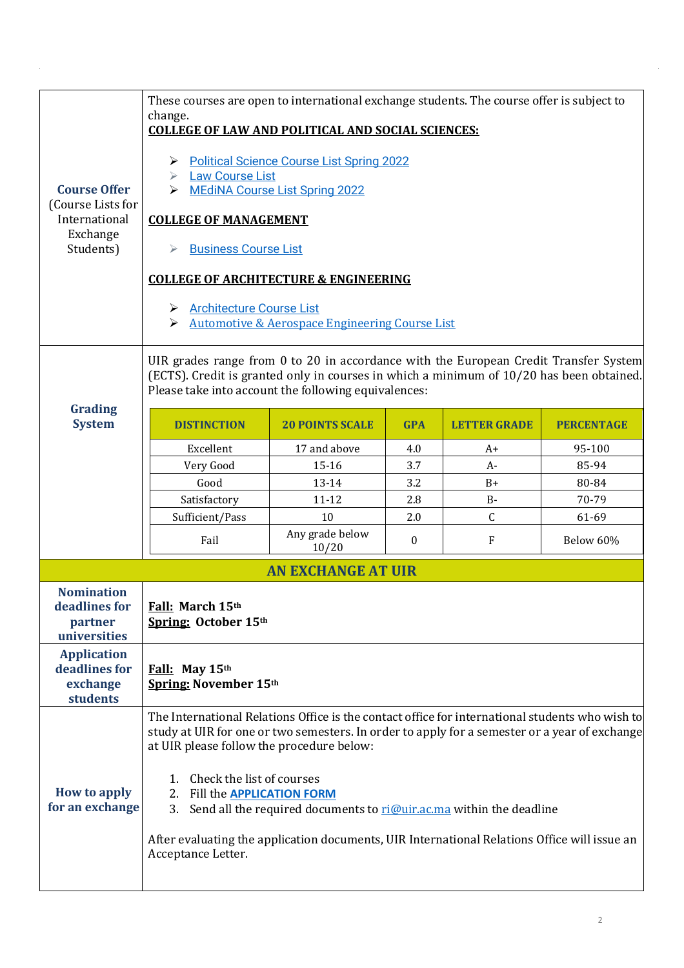| <b>Course Offer</b><br>(Course Lists for<br>International<br>Exchange<br>Students) | These courses are open to international exchange students. The course offer is subject to<br>change.<br><b>COLLEGE OF LAW AND POLITICAL AND SOCIAL SCIENCES:</b><br><b>Political Science Course List Spring 2022</b><br>➤<br><b>Law Course List</b><br>➤<br><b>MEdiNA Course List Spring 2022</b><br>➤<br><b>COLLEGE OF MANAGEMENT</b><br><b>Business Course List</b><br><b>COLLEGE OF ARCHITECTURE &amp; ENGINEERING</b><br><b>Architecture Course List</b><br>➤<br><b>Automotive &amp; Aerospace Engineering Course List</b><br>➤ |                           |              |                     |                   |
|------------------------------------------------------------------------------------|-------------------------------------------------------------------------------------------------------------------------------------------------------------------------------------------------------------------------------------------------------------------------------------------------------------------------------------------------------------------------------------------------------------------------------------------------------------------------------------------------------------------------------------|---------------------------|--------------|---------------------|-------------------|
|                                                                                    | UIR grades range from 0 to 20 in accordance with the European Credit Transfer System<br>(ECTS). Credit is granted only in courses in which a minimum of 10/20 has been obtained.<br>Please take into account the following equivalences:                                                                                                                                                                                                                                                                                            |                           |              |                     |                   |
| <b>Grading</b><br><b>System</b>                                                    | <b>DISTINCTION</b>                                                                                                                                                                                                                                                                                                                                                                                                                                                                                                                  | <b>20 POINTS SCALE</b>    | <b>GPA</b>   | <b>LETTER GRADE</b> | <b>PERCENTAGE</b> |
|                                                                                    | Excellent                                                                                                                                                                                                                                                                                                                                                                                                                                                                                                                           | 17 and above              | 4.0          | $A+$                | 95-100            |
|                                                                                    | Very Good                                                                                                                                                                                                                                                                                                                                                                                                                                                                                                                           | $15 - 16$                 | 3.7          | $A-$                | 85-94             |
|                                                                                    | Good                                                                                                                                                                                                                                                                                                                                                                                                                                                                                                                                | 13-14                     | 3.2          | $B+$                | 80-84             |
|                                                                                    | Satisfactory                                                                                                                                                                                                                                                                                                                                                                                                                                                                                                                        | $11 - 12$                 | 2.8          | $B -$               | 70-79             |
|                                                                                    | Sufficient/Pass                                                                                                                                                                                                                                                                                                                                                                                                                                                                                                                     | 10                        | 2.0          | $\mathsf{C}$        | 61-69             |
|                                                                                    | Fail                                                                                                                                                                                                                                                                                                                                                                                                                                                                                                                                | Any grade below<br>10/20  | $\mathbf{0}$ | F                   | Below 60%         |
|                                                                                    |                                                                                                                                                                                                                                                                                                                                                                                                                                                                                                                                     | <b>AN EXCHANGE AT UIR</b> |              |                     |                   |
| <b>Nomination</b><br>deadlines for<br>partner<br>universities                      | Fall: March 15th<br>Spring: October 15th                                                                                                                                                                                                                                                                                                                                                                                                                                                                                            |                           |              |                     |                   |
| <b>Application</b><br>deadlines for<br>exchange<br>students                        | Fall: May 15th<br>Spring: November 15th                                                                                                                                                                                                                                                                                                                                                                                                                                                                                             |                           |              |                     |                   |
| How to apply<br>for an exchange                                                    | The International Relations Office is the contact office for international students who wish to<br>study at UIR for one or two semesters. In order to apply for a semester or a year of exchange<br>at UIR please follow the procedure below:<br>Check the list of courses<br>1.<br>2. Fill the APPLICATION FORM<br>3.<br>Send all the required documents to ri@uir.ac.ma within the deadline<br>After evaluating the application documents, UIR International Relations Office will issue an<br>Acceptance Letter.                 |                           |              |                     |                   |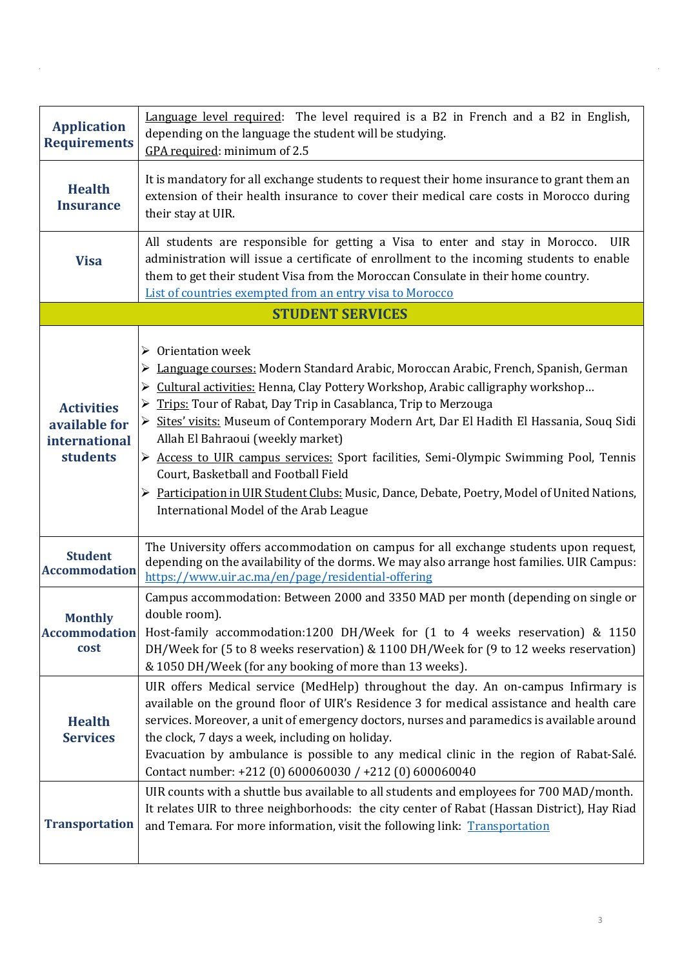| <b>Application</b><br><b>Requirements</b>                       | Language level required: The level required is a B2 in French and a B2 in English,<br>depending on the language the student will be studying.<br>GPA required: minimum of 2.5                                                                                                                                                                                                                                                                                                                                                                                                                                                                                                                     |  |  |  |
|-----------------------------------------------------------------|---------------------------------------------------------------------------------------------------------------------------------------------------------------------------------------------------------------------------------------------------------------------------------------------------------------------------------------------------------------------------------------------------------------------------------------------------------------------------------------------------------------------------------------------------------------------------------------------------------------------------------------------------------------------------------------------------|--|--|--|
| <b>Health</b><br><b>Insurance</b>                               | It is mandatory for all exchange students to request their home insurance to grant them an<br>extension of their health insurance to cover their medical care costs in Morocco during<br>their stay at UIR.                                                                                                                                                                                                                                                                                                                                                                                                                                                                                       |  |  |  |
| <b>Visa</b>                                                     | All students are responsible for getting a Visa to enter and stay in Morocco.<br><b>UIR</b><br>administration will issue a certificate of enrollment to the incoming students to enable<br>them to get their student Visa from the Moroccan Consulate in their home country.<br>List of countries exempted from an entry visa to Morocco                                                                                                                                                                                                                                                                                                                                                          |  |  |  |
|                                                                 | <b>STUDENT SERVICES</b>                                                                                                                                                                                                                                                                                                                                                                                                                                                                                                                                                                                                                                                                           |  |  |  |
| <b>Activities</b><br>available for<br>international<br>students | $\triangleright$ Orientation week<br>► Language courses: Modern Standard Arabic, Moroccan Arabic, French, Spanish, German<br>> Cultural activities: Henna, Clay Pottery Workshop, Arabic calligraphy workshop<br>Trips: Tour of Rabat, Day Trip in Casablanca, Trip to Merzouga<br>➤<br>Sites' visits: Museum of Contemporary Modern Art, Dar El Hadith El Hassania, Souq Sidi<br>Allah El Bahraoui (weekly market)<br>Access to UIR campus services: Sport facilities, Semi-Olympic Swimming Pool, Tennis<br>➤<br>Court, Basketball and Football Field<br>► Participation in UIR Student Clubs: Music, Dance, Debate, Poetry, Model of United Nations,<br>International Model of the Arab League |  |  |  |
| <b>Student</b><br><b>Accommodation</b>                          | The University offers accommodation on campus for all exchange students upon request,<br>depending on the availability of the dorms. We may also arrange host families. UIR Campus:<br>https://www.uir.ac.ma/en/page/residential-offering                                                                                                                                                                                                                                                                                                                                                                                                                                                         |  |  |  |
| <b>Monthly</b><br><b>Accommodation</b><br>cost                  | Campus accommodation: Between 2000 and 3350 MAD per month (depending on single or<br>double room).<br>Host-family accommodation:1200 DH/Week for (1 to 4 weeks reservation) & 1150<br>DH/Week for (5 to 8 weeks reservation) & 1100 DH/Week for (9 to 12 weeks reservation)<br>& 1050 DH/Week (for any booking of more than 13 weeks).                                                                                                                                                                                                                                                                                                                                                            |  |  |  |
| <b>Health</b><br><b>Services</b>                                | UIR offers Medical service (MedHelp) throughout the day. An on-campus Infirmary is<br>available on the ground floor of UIR's Residence 3 for medical assistance and health care<br>services. Moreover, a unit of emergency doctors, nurses and paramedics is available around<br>the clock, 7 days a week, including on holiday.<br>Evacuation by ambulance is possible to any medical clinic in the region of Rabat-Salé.<br>Contact number: +212 (0) 600060030 / +212 (0) 600060040                                                                                                                                                                                                             |  |  |  |
| <b>Transportation</b>                                           | UIR counts with a shuttle bus available to all students and employees for 700 MAD/month.<br>It relates UIR to three neighborhoods: the city center of Rabat (Hassan District), Hay Riad<br>and Temara. For more information, visit the following link: Transportation                                                                                                                                                                                                                                                                                                                                                                                                                             |  |  |  |

 $\hat{\boldsymbol{\gamma}}$